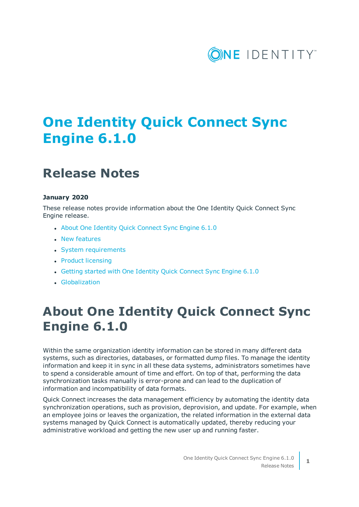

# **One Identity Quick Connect Sync Engine 6.1.0**

## **Release Notes**

### **January 2020**

These release notes provide information about the One Identity Quick Connect Sync Engine release.

- About One Identity Quick [Connect](#page-0-0) Sync Engine 6.1.0
- New [features](#page-1-0)
- System [requirements](#page-1-1)
- Product [licensing](#page-6-0)
- Getting started with One Identity Quick [Connect](#page-6-1) Sync Engine 6.1.0
- <span id="page-0-0"></span>**.** [Globalization](#page-6-2)

## **About One Identity Quick Connect Sync Engine 6.1.0**

Within the same organization identity information can be stored in many different data systems, such as directories, databases, or formatted dump files. To manage the identity information and keep it in sync in all these data systems, administrators sometimes have to spend a considerable amount of time and effort. On top of that, performing the data synchronization tasks manually is error-prone and can lead to the duplication of information and incompatibility of data formats.

Quick Connect increases the data management efficiency by automating the identity data synchronization operations, such as provision, deprovision, and update. For example, when an employee joins or leaves the organization, the related information in the external data systems managed by Quick Connect is automatically updated, thereby reducing your administrative workload and getting the new user up and running faster.

**1**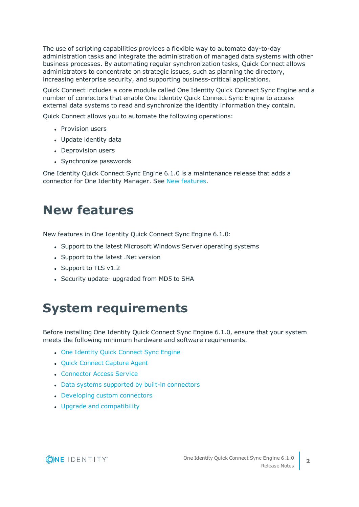The use of scripting capabilities provides a flexible way to automate day-to-day administration tasks and integrate the administration of managed data systems with other business processes. By automating regular synchronization tasks, Quick Connect allows administrators to concentrate on strategic issues, such as planning the directory, increasing enterprise security, and supporting business-critical applications.

Quick Connect includes a core module called One Identity Quick Connect Sync Engine and a number of connectors that enable One Identity Quick Connect Sync Engine to access external data systems to read and synchronize the identity information they contain.

Quick Connect allows you to automate the following operations:

- Provision users
- Update identity data
- Deprovision users
- Synchronize passwords

One Identity Quick Connect Sync Engine 6.1.0 is a maintenance release that adds a connector for One Identity Manager. See New [features](#page-1-0).

## <span id="page-1-0"></span>**New features**

New features in One Identity Quick Connect Sync Engine 6.1.0:

- Support to the latest Microsoft Windows Server operating systems
- Support to the latest .Net version
- $\bullet$  Support to TLS v1.2
- <span id="page-1-1"></span>• Security update- upgraded from MD5 to SHA

## **System requirements**

Before installing One Identity Quick Connect Sync Engine 6.1.0, ensure that your system meets the following minimum hardware and software requirements.

- One Identity Quick [Connect](#page-2-0) Sync Engine
- Quick [Connect](#page-3-0) Capture Agent
- **.** [Connector](#page-4-0) Access Service
- Data systems supported by built-in [connectors](#page-5-0)
- [Developing](#page-5-1) custom connectors
- Upgrade and [compatibility](#page-5-2)

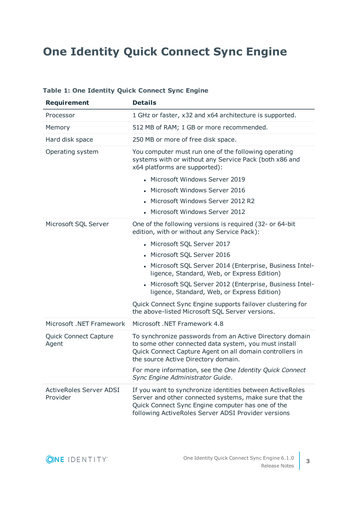## <span id="page-2-0"></span>**One Identity Quick Connect Sync Engine**

| <b>Requirement</b>                         | <b>Details</b>                                                                                                                                                                                                                  |
|--------------------------------------------|---------------------------------------------------------------------------------------------------------------------------------------------------------------------------------------------------------------------------------|
| Processor                                  | 1 GHz or faster, x32 and x64 architecture is supported.                                                                                                                                                                         |
| Memory                                     | 512 MB of RAM; 1 GB or more recommended.                                                                                                                                                                                        |
| Hard disk space                            | 250 MB or more of free disk space.                                                                                                                                                                                              |
| Operating system                           | You computer must run one of the following operating<br>systems with or without any Service Pack (both x86 and<br>x64 platforms are supported):                                                                                 |
|                                            | • Microsoft Windows Server 2019                                                                                                                                                                                                 |
|                                            | • Microsoft Windows Server 2016                                                                                                                                                                                                 |
|                                            | Microsoft Windows Server 2012 R2                                                                                                                                                                                                |
|                                            | • Microsoft Windows Server 2012                                                                                                                                                                                                 |
| Microsoft SQL Server                       | One of the following versions is required (32- or 64-bit)<br>edition, with or without any Service Pack):                                                                                                                        |
|                                            | • Microsoft SQL Server 2017                                                                                                                                                                                                     |
|                                            | • Microsoft SQL Server 2016                                                                                                                                                                                                     |
|                                            | - Microsoft SQL Server 2014 (Enterprise, Business Intel-<br>ligence, Standard, Web, or Express Edition)                                                                                                                         |
|                                            | Microsoft SQL Server 2012 (Enterprise, Business Intel-<br>ligence, Standard, Web, or Express Edition)                                                                                                                           |
|                                            | Quick Connect Sync Engine supports failover clustering for<br>the above-listed Microsoft SQL Server versions.                                                                                                                   |
| Microsoft .NET Framework                   | Microsoft .NET Framework 4.8                                                                                                                                                                                                    |
| <b>Quick Connect Capture</b><br>Agent      | To synchronize passwords from an Active Directory domain<br>to some other connected data system, you must install<br>Quick Connect Capture Agent on all domain controllers in<br>the source Active Directory domain.            |
|                                            | For more information, see the One Identity Quick Connect<br>Sync Engine Administrator Guide.                                                                                                                                    |
| <b>ActiveRoles Server ADSI</b><br>Provider | If you want to synchronize identities between ActiveRoles<br>Server and other connected systems, make sure that the<br>Quick Connect Sync Engine computer has one of the<br>following ActiveRoles Server ADSI Provider versions |

### **Table 1: One Identity Quick Connect Sync Engine**

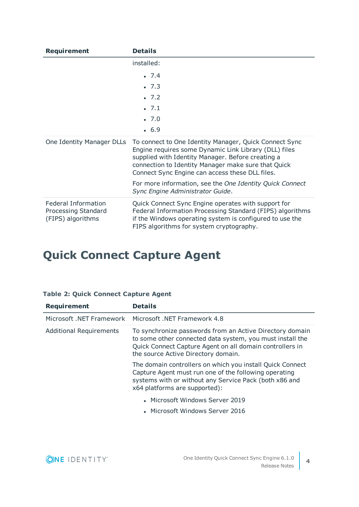| Requirement                                                            | <b>Details</b>                                                                                                                                                                                                                                                                 |
|------------------------------------------------------------------------|--------------------------------------------------------------------------------------------------------------------------------------------------------------------------------------------------------------------------------------------------------------------------------|
|                                                                        | installed:                                                                                                                                                                                                                                                                     |
|                                                                        | .7.4                                                                                                                                                                                                                                                                           |
|                                                                        | .7.3                                                                                                                                                                                                                                                                           |
|                                                                        | $-7.2$                                                                                                                                                                                                                                                                         |
|                                                                        | .7.1                                                                                                                                                                                                                                                                           |
|                                                                        | .7.0                                                                                                                                                                                                                                                                           |
|                                                                        | .6.9                                                                                                                                                                                                                                                                           |
| One Identity Manager DLLs                                              | To connect to One Identity Manager, Quick Connect Sync<br>Engine requires some Dynamic Link Library (DLL) files<br>supplied with Identity Manager. Before creating a<br>connection to Identity Manager make sure that Quick<br>Connect Sync Engine can access these DLL files. |
|                                                                        | For more information, see the One Identity Quick Connect<br>Sync Engine Administrator Guide.                                                                                                                                                                                   |
| <b>Federal Information</b><br>Processing Standard<br>(FIPS) algorithms | Quick Connect Sync Engine operates with support for<br>Federal Information Processing Standard (FIPS) algorithms<br>if the Windows operating system is configured to use the<br>FIPS algorithms for system cryptography.                                                       |

# <span id="page-3-0"></span>**Quick Connect Capture Agent**

|  |  |  | <b>Table 2: Quick Connect Capture Agent</b> |  |  |
|--|--|--|---------------------------------------------|--|--|
|--|--|--|---------------------------------------------|--|--|

| <b>Requirement</b>             | <b>Details</b>                                                                                                                                                                                                           |
|--------------------------------|--------------------------------------------------------------------------------------------------------------------------------------------------------------------------------------------------------------------------|
| Microsoft .NET Framework       | Microsoft .NET Framework 4.8                                                                                                                                                                                             |
| <b>Additional Requirements</b> | To synchronize passwords from an Active Directory domain<br>to some other connected data system, you must install the<br>Quick Connect Capture Agent on all domain controllers in<br>the source Active Directory domain. |
|                                | The domain controllers on which you install Quick Connect<br>Capture Agent must run one of the following operating<br>systems with or without any Service Pack (both x86 and<br>x64 platforms are supported):            |
|                                | • Microsoft Windows Server 2019<br>• Microsoft Windows Server 2016                                                                                                                                                       |

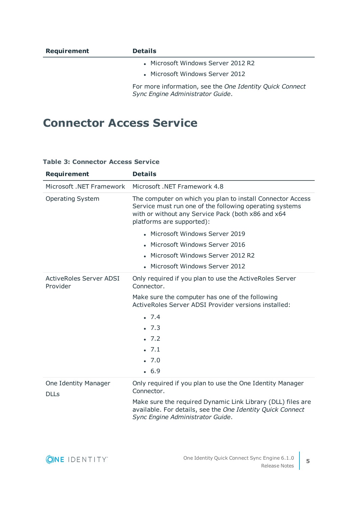| Requirement | <b>Details</b>                                                                               |
|-------------|----------------------------------------------------------------------------------------------|
|             | • Microsoft Windows Server 2012 R2                                                           |
|             | • Microsoft Windows Server 2012                                                              |
|             | For more information, see the One Identity Quick Connect<br>Sync Engine Administrator Guide. |

### <span id="page-4-0"></span>**Connector Access Service**

| <b>Requirement</b>                         | <b>Details</b>                                                                                                                                                                                           |
|--------------------------------------------|----------------------------------------------------------------------------------------------------------------------------------------------------------------------------------------------------------|
| Microsoft .NET Framework                   | Microsoft .NET Framework 4.8                                                                                                                                                                             |
| <b>Operating System</b>                    | The computer on which you plan to install Connector Access<br>Service must run one of the following operating systems<br>with or without any Service Pack (both x86 and x64<br>platforms are supported): |
|                                            | • Microsoft Windows Server 2019                                                                                                                                                                          |
|                                            | • Microsoft Windows Server 2016                                                                                                                                                                          |
|                                            | • Microsoft Windows Server 2012 R2                                                                                                                                                                       |
|                                            | • Microsoft Windows Server 2012                                                                                                                                                                          |
| <b>ActiveRoles Server ADSI</b><br>Provider | Only required if you plan to use the Active Roles Server<br>Connector.                                                                                                                                   |
|                                            | Make sure the computer has one of the following<br>ActiveRoles Server ADSI Provider versions installed:                                                                                                  |
|                                            | $-7.4$                                                                                                                                                                                                   |
|                                            | .7.3                                                                                                                                                                                                     |
|                                            | .7.2                                                                                                                                                                                                     |
|                                            | .7.1                                                                                                                                                                                                     |
|                                            | .7.0                                                                                                                                                                                                     |
|                                            | .6.9                                                                                                                                                                                                     |
| One Identity Manager<br><b>DLLs</b>        | Only required if you plan to use the One Identity Manager<br>Connector.                                                                                                                                  |
|                                            | Make sure the required Dynamic Link Library (DLL) files are<br>available. For details, see the One Identity Quick Connect<br>Sync Engine Administrator Guide.                                            |

### **Table 3: Connector Access Service**

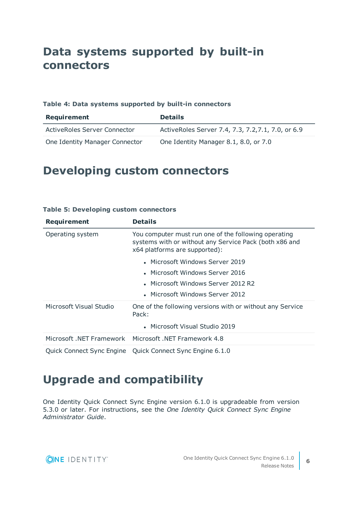## <span id="page-5-0"></span>**Data systems supported by built-in connectors**

### **Table 4: Data systems supported by built-in connectors**

| Requirement                    | <b>Details</b>                                     |
|--------------------------------|----------------------------------------------------|
| ActiveRoles Server Connector   | ActiveRoles Server 7.4, 7.3, 7.2, 7.1, 7.0, or 6.9 |
| One Identity Manager Connector | One Identity Manager 8.1, 8.0, or 7.0              |

### <span id="page-5-1"></span>**Developing custom connectors**

| <b>Requirement</b>        | <b>Details</b>                                                                                                                                  |
|---------------------------|-------------------------------------------------------------------------------------------------------------------------------------------------|
| Operating system          | You computer must run one of the following operating<br>systems with or without any Service Pack (both x86 and<br>x64 platforms are supported): |
|                           | • Microsoft Windows Server 2019                                                                                                                 |
|                           | • Microsoft Windows Server 2016                                                                                                                 |
|                           | • Microsoft Windows Server 2012 R2                                                                                                              |
|                           | • Microsoft Windows Server 2012                                                                                                                 |
| Microsoft Visual Studio   | One of the following versions with or without any Service<br>Pack:                                                                              |
|                           | • Microsoft Visual Studio 2019                                                                                                                  |
|                           | Microsoft .NET Framework Microsoft .NET Framework 4.8                                                                                           |
| Quick Connect Sync Engine | Quick Connect Sync Engine 6.1.0                                                                                                                 |

### **Table 5: Developing custom connectors**

### <span id="page-5-2"></span>**Upgrade and compatibility**

One Identity Quick Connect Sync Engine version 6.1.0 is upgradeable from version 5.3.0 or later. For instructions, see the *One Identity Quick Connect Sync Engine Administrator Guide*.

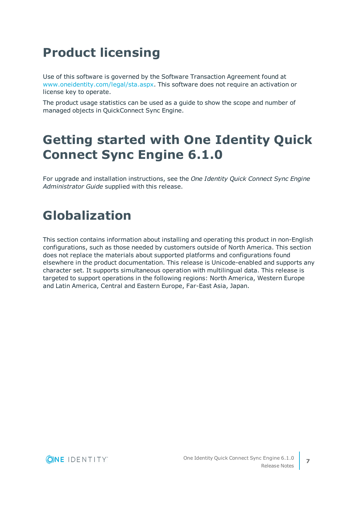# <span id="page-6-0"></span>**Product licensing**

Use of this software is governed by the Software Transaction Agreement found at [www.oneidentity.com/legal/sta.aspx](http://www.oneidentity.com/legal/sta.aspx). This software does not require an activation or license key to operate.

The product usage statistics can be used as a guide to show the scope and number of managed objects in QuickConnect Sync Engine.

# <span id="page-6-1"></span>**Getting started with One Identity Quick Connect Sync Engine 6.1.0**

For upgrade and installation instructions, see the *One Identity Quick Connect Sync Engine Administrator Guide* supplied with this release.

# <span id="page-6-2"></span>**Globalization**

This section contains information about installing and operating this product in non-English configurations, such as those needed by customers outside of North America. This section does not replace the materials about supported platforms and configurations found elsewhere in the product documentation. This release is Unicode-enabled and supports any character set. It supports simultaneous operation with multilingual data. This release is targeted to support operations in the following regions: North America, Western Europe and Latin America, Central and Eastern Europe, Far-East Asia, Japan.

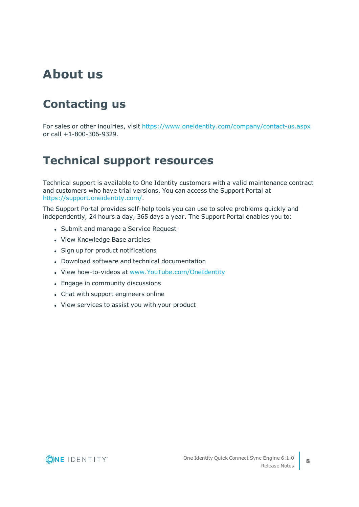## **About us**

## **Contacting us**

For sales or other inquiries, visit <https://www.oneidentity.com/company/contact-us.aspx> or call +1-800-306-9329.

### **Technical support resources**

Technical support is available to One Identity customers with a valid maintenance contract and customers who have trial versions. You can access the Support Portal at [https://support.oneidentity.com/.](https://support.oneidentity.com/)

The Support Portal provides self-help tools you can use to solve problems quickly and independently, 24 hours a day, 365 days a year. The Support Portal enables you to:

- Submit and manage a Service Request
- View Knowledge Base articles
- Sign up for product notifications
- Download software and technical documentation
- View how-to-videos at [www.YouTube.com/OneIdentity](http://www.youtube.com/OneIdentity)
- Engage in community discussions
- Chat with support engineers online
- View services to assist you with your product